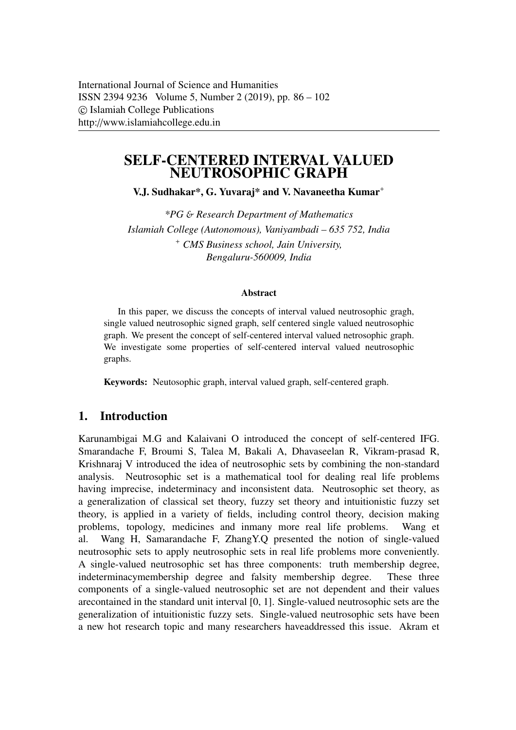# SELF-CENTERED INTERVAL VALUED NEUTROSOPHIC GRAPH

V.J. Sudhakar\*, G. Yuvaraj\* and V. Navaneetha Kumar<sup>+</sup>

*\*PG* & *Research Department of Mathematics Islamiah College (Autonomous), Vaniyambadi – 635 752, India* <sup>+</sup> *CMS Business school, Jain University, Bengaluru-560009, India*

#### Abstract

In this paper, we discuss the concepts of interval valued neutrosophic gragh, single valued neutrosophic signed graph, self centered single valued neutrosophic graph. We present the concept of self-centered interval valued netrosophic graph. We investigate some properties of self-centered interval valued neutrosophic graphs.

Keywords: Neutosophic graph, interval valued graph, self-centered graph.

## 1. Introduction

Karunambigai M.G and Kalaivani O introduced the concept of self-centered IFG. Smarandache F, Broumi S, Talea M, Bakali A, Dhavaseelan R, Vikram-prasad R, Krishnaraj V introduced the idea of neutrosophic sets by combining the non-standard analysis. Neutrosophic set is a mathematical tool for dealing real life problems having imprecise, indeterminacy and inconsistent data. Neutrosophic set theory, as a generalization of classical set theory, fuzzy set theory and intuitionistic fuzzy set theory, is applied in a variety of fields, including control theory, decision making problems, topology, medicines and inmany more real life problems. Wang et al. Wang H, Samarandache F, ZhangY.Q presented the notion of single-valued neutrosophic sets to apply neutrosophic sets in real life problems more conveniently. A single-valued neutrosophic set has three components: truth membership degree, indeterminacymembership degree and falsity membership degree. These three components of a single-valued neutrosophic set are not dependent and their values arecontained in the standard unit interval [0, 1]. Single-valued neutrosophic sets are the generalization of intuitionistic fuzzy sets. Single-valued neutrosophic sets have been a new hot research topic and many researchers haveaddressed this issue. Akram et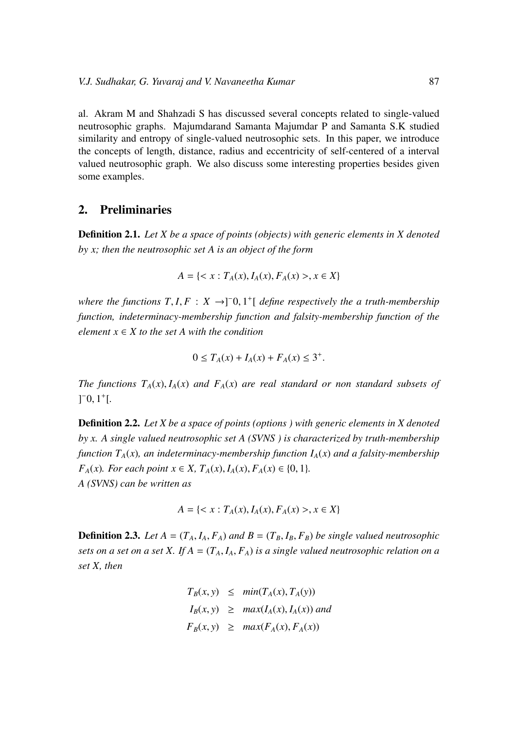al. Akram M and Shahzadi S has discussed several concepts related to single-valued neutrosophic graphs. Majumdarand Samanta Majumdar P and Samanta S.K studied similarity and entropy of single-valued neutrosophic sets. In this paper, we introduce the concepts of length, distance, radius and eccentricity of self-centered of a interval valued neutrosophic graph. We also discuss some interesting properties besides given some examples.

#### 2. Preliminaries

Definition 2.1. *Let X be a space of points (objects) with generic elements in X denoted by x; then the neutrosophic set A is an object of the form*

$$
A = \{ < x : T_A(x), I_A(x), F_A(x) > , x \in X \}
$$

*where the functions*  $T, I, F: X \rightarrow ]-0, 1^+[$  *define respectively the a truth-membership function, indeterminacy-membership function and falsity-membership function of the element*  $x \in X$  *to the set A with the condition* 

$$
0 \le T_A(x) + I_A(x) + F_A(x) \le 3^+.
$$

*The functions*  $T_A(x)$ ,  $I_A(x)$  *and*  $F_A(x)$  *are real standard or non standard subsets of*  $]$ <sup>-</sup>0,  $1$ <sup>+</sup>[.

Definition 2.2. *Let X be a space of points (options ) with generic elements in X denoted by x. A single valued neutrosophic set A (SVNS ) is characterized by truth-membership function*  $T_A(x)$ *, an indeterminacy-membership function*  $I_A(x)$  *and a falsity-membership F<sub>A</sub>*(*x*)*. For each point*  $x \in X$ *,*  $T_A(x)$ *,*  $I_A(x)$ *,*  $F_A(x) \in \{0, 1\}$ *. A (SVNS) can be written as*

$$
A = \{ < x : T_A(x), I_A(x), F_A(x) > , x \in X \}
$$

**Definition 2.3.** *Let*  $A = (T_A, I_A, F_A)$  *and*  $B = (T_B, I_B, F_B)$  *be single valued neutrosophic sets on a set on a set X.* If  $A = (T_A, I_A, F_A)$  *is a single valued neutrosophic relation on a set X, then*

$$
T_B(x, y) \leq \min(T_A(x), T_A(y))
$$
  
\n
$$
I_B(x, y) \geq \max(I_A(x), I_A(x)) \text{ and}
$$
  
\n
$$
F_B(x, y) \geq \max(F_A(x), F_A(x))
$$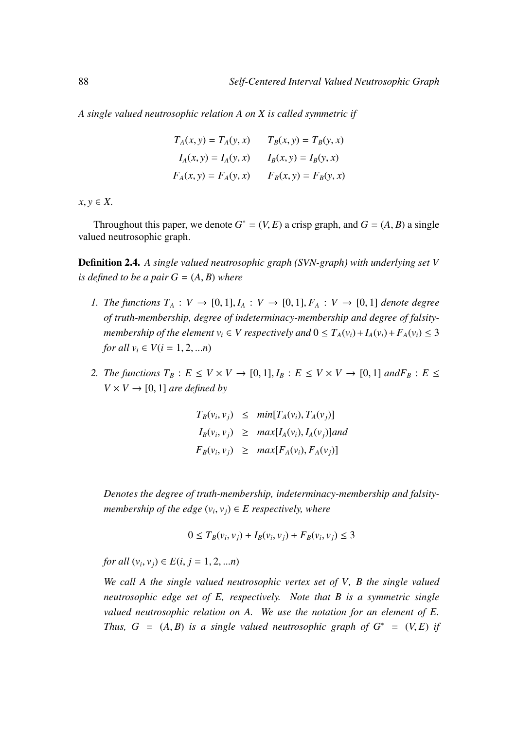*A single valued neutrosophic relation A on X is called symmetric if*

$$
T_A(x, y) = T_A(y, x)
$$

$$
T_B(x, y) = T_B(y, x)
$$

$$
I_A(x, y) = I_A(y, x)
$$

$$
I_B(x, y) = I_B(y, x)
$$

$$
F_A(x, y) = F_A(y, x)
$$

$$
F_B(x, y) = F_B(y, x)
$$

 $x, y \in X$ .

Throughout this paper, we denote  $G^* = (V, E)$  a crisp graph, and  $G = (A, B)$  a single neutrosophic graph valued neutrosophic graph.

Definition 2.4. *A single valued neutrosophic graph (SVN-graph) with underlying set V is defined to be a pair*  $G = (A, B)$  *where* 

- *1. The functions*  $T_A: V \to [0,1], I_A: V \to [0,1], F_A: V \to [0,1]$  *denote degree of truth-membership, degree of indeterminacy-membership and degree of falsitymembership of the element*  $v_i \in V$  *respectively and*  $0 \le T_A(v_i) + I_A(v_i) + F_A(v_i) \le 3$ *for all*  $v_i \in V(i = 1, 2, ...n)$
- *2. The functions*  $T_B: E \le V \times V \rightarrow [0, 1], I_B: E \le V \times V \rightarrow [0, 1]$  *and* $F_B: E \le$  $V \times V \rightarrow [0, 1]$  *are defined by*

$$
T_B(v_i, v_j) \leq \min[T_A(v_i), T_A(v_j)]
$$
  
\n
$$
I_B(v_i, v_j) \geq \max[I_A(v_i), I_A(v_j)]
$$
  
\n
$$
F_B(v_i, v_j) \geq \max[F_A(v_i), F_A(v_j)]
$$

*Denotes the degree of truth-membership, indeterminacy-membership and falsitymembership of the edge*  $(v_i, v_j) \in E$  *respectively, where* 

$$
0 \le T_B(v_i, v_j) + I_B(v_i, v_j) + F_B(v_i, v_j) \le 3
$$

*for all*  $(v_i, v_j) \in E(i, j = 1, 2, ...n)$ 

*We call A the single valued neutrosophic vertex set of V, B the single valued neutrosophic edge set of E, respectively. Note that B is a symmetric single valued neutrosophic relation on A. We use the notation for an element of E. Thus,*  $G = (A, B)$  *is a single valued neutrosophic graph of*  $G^* = (V, E)$  *if*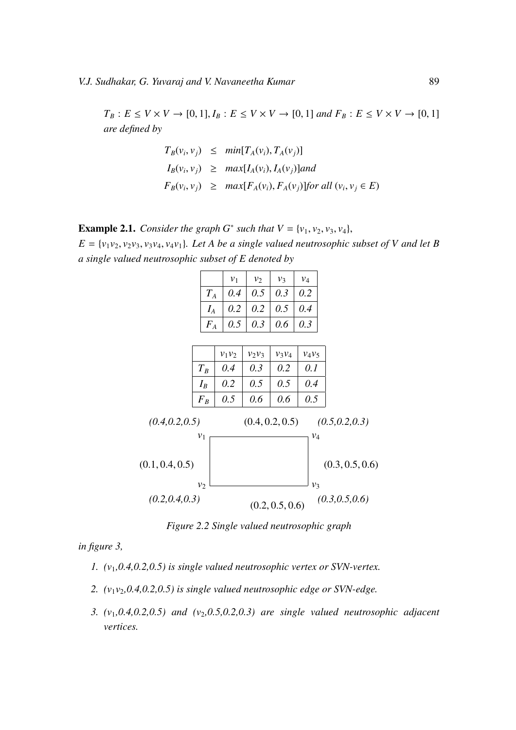$T_B: E \le V \times V \to [0, 1], I_B: E \le V \times V \to [0, 1]$  *and*  $F_B: E \le V \times V \to [0, 1]$ *are defined by*

$$
T_B(v_i, v_j) \le \min[T_A(v_i), T_A(v_j)]
$$
  
\n
$$
I_B(v_i, v_j) \ge \max[I_A(v_i), I_A(v_j)]
$$
  
\n
$$
F_B(v_i, v_j) \ge \max[F_A(v_i), F_A(v_j)]
$$
 for all  $(v_i, v_j \in E)$ 

**Example 2.1.** *Consider the graph G<sup>∗</sup> such that*  $V = \{v_1, v_2, v_3, v_4\}$ *,*  $E = \{v_1v_2, v_2v_3, v_3v_4, v_4v_1\}$ . Let A be a single valued neutrosophic subset of V and let B *a single valued neutrosophic subset of E denoted by*

|                 |                |                |          | $v_1$ | $v_2$           | $v_3$           |     | $v_4$          |  |  |                 |  |
|-----------------|----------------|----------------|----------|-------|-----------------|-----------------|-----|----------------|--|--|-----------------|--|
|                 |                | ${\cal T}_A$   |          | 0.4   | 0.5             |                 | 0.3 | 0.2            |  |  |                 |  |
|                 |                | $I_A$          |          | 0.2   | 0.2             | 0.5             |     | 0.4            |  |  |                 |  |
|                 |                | $F_A$          |          | 0.5   | 0.3             | 0.6             |     | 0.3            |  |  |                 |  |
|                 |                |                |          |       |                 |                 |     |                |  |  |                 |  |
|                 |                |                | $v_1v_2$ |       | $v_2v_3$        | $v_3v_4$        |     | $v_4v_5$       |  |  |                 |  |
|                 | $T_B$<br>$I_B$ |                | 0.4      |       | 0.3             | 0.2             |     | 0.1            |  |  |                 |  |
|                 |                |                | 0.2      |       | 0.5             | 0.5             |     | 0.4            |  |  |                 |  |
|                 |                | $F_B$          | 0.5      |       | 0.6             | 0.6             |     | 0.5            |  |  |                 |  |
| (0.4, 0.2, 0.5) |                |                |          |       | (0.4, 0.2, 0.5) |                 |     |                |  |  | (0.5, 0.2, 0.3) |  |
|                 |                | $v_1$          |          |       |                 |                 |     | $v_4$          |  |  |                 |  |
| (0.1, 0.4, 0.5) |                | v <sub>2</sub> |          |       |                 |                 |     | v <sub>3</sub> |  |  | (0.3, 0.5, 0.6) |  |
| (0.2, 0.4, 0.3) |                |                |          |       |                 | (0.2, 0.5, 0.6) |     |                |  |  | (0.3, 0.5, 0.6) |  |

*Figure 2.2 Single valued neutrosophic graph*

*in figure 3,*

- *1. (v*1*,0.4,0.2,0.5) is single valued neutrosophic vertex or SVN-vertex.*
- *2. (v*1*v*2*,0.4,0.2,0.5) is single valued neutrosophic edge or SVN-edge.*
- *3.*  $(v_1, 0.4, 0.2, 0.5)$  and  $(v_2, 0.5, 0.2, 0.3)$  are single valued neutrosophic adjacent *vertices.*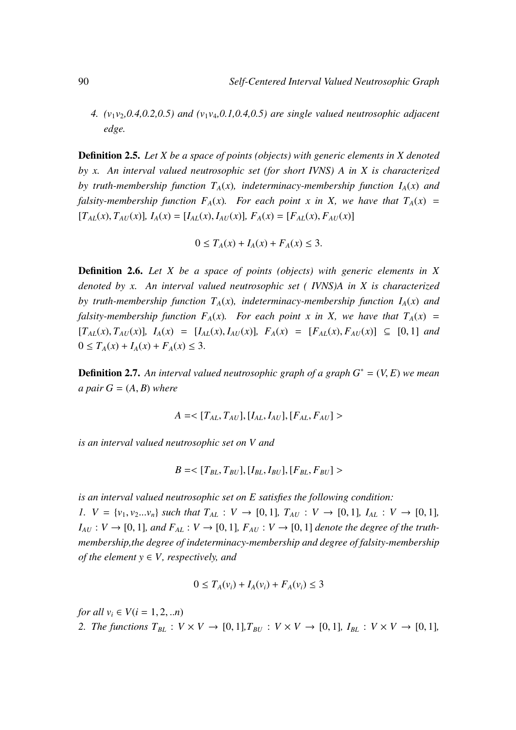*4.*  $(v_1v_2, 0.4, 0.2, 0.5)$  and  $(v_1v_4, 0.1, 0.4, 0.5)$  are single valued neutrosophic adjacent *edge.*

Definition 2.5. *Let X be a space of points (objects) with generic elements in X denoted by x. An interval valued neutrosophic set (for short IVNS) A in X is characterized by truth-membership function*  $T_A(x)$ *, indeterminacy-membership function*  $I_A(x)$  *and falsity-membership function*  $F_A(x)$ *. For each point x in X, we have that*  $T_A(x)$  =  $[T_{AL}(x), T_{AI}(x)], I_A(x) = [I_{AL}(x), I_{AI}(x)], F_A(x) = [F_{AI}(x), F_{AI}(x)]$ 

$$
0 \le T_A(x) + I_A(x) + F_A(x) \le 3.
$$

Definition 2.6. *Let X be a space of points (objects) with generic elements in X denoted by x. An interval valued neutrosophic set ( IVNS)A in X is characterized by truth-membership function*  $T_A(x)$ *, indeterminacy-membership function*  $I_A(x)$  *and falsity-membership function*  $F_A(x)$ *. For each point x in X, we have that*  $T_A(x)$  =  $[T_{AL}(x), T_{AU}(x)], I_A(x) = [I_{AL}(x), I_{AU}(x)], F_A(x) = [F_{AL}(x), F_{AU}(x)] \subseteq [0,1]$  and  $0 \le T_A(x) + I_A(x) + F_A(x) \le 3.$ 

Definition 2.7. *An interval valued neutrosophic graph of a graph G*<sup>∗</sup> <sup>=</sup> (*V*, *<sup>E</sup>*) *we mean a pair*  $G = (A, B)$  *where* 

$$
A = \langle [T_{AL}, T_{AU}], [I_{AL}, I_{AU}], [F_{AL}, F_{AU}] \rangle
$$

*is an interval valued neutrosophic set on V and*

$$
B = \langle [T_{BL}, T_{BU}], [I_{BL}, I_{BU}], [F_{BL}, F_{BU}] \rangle
$$

*is an interval valued neutrosophic set on E satisfies the following condition: 1.*  $V = \{v_1, v_2...v_n\}$  *such that*  $T_{AL} : V \rightarrow [0, 1]$ *,*  $T_{AU} : V \rightarrow [0, 1]$ *,*  $I_{AL} : V \rightarrow [0, 1]$ *,*  $I_{AU}: V \rightarrow [0, 1]$ *, and*  $F_{AL}: V \rightarrow [0, 1]$ *,*  $F_{AU}: V \rightarrow [0, 1]$  *denote the degree of the truthmembership,the degree of indeterminacy-membership and degree of falsity-membership of the element*  $y \in V$ *, respectively, and* 

$$
0 \le T_A(v_i) + I_A(v_i) + F_A(v_i) \le 3
$$

*for all*  $v_i \in V(i = 1, 2, ...n)$ *2. The functions*  $T_{BL}$  :  $V \times V \rightarrow [0, 1], T_{BU}$  :  $V \times V \rightarrow [0, 1], I_{BL}$  :  $V \times V \rightarrow [0, 1],$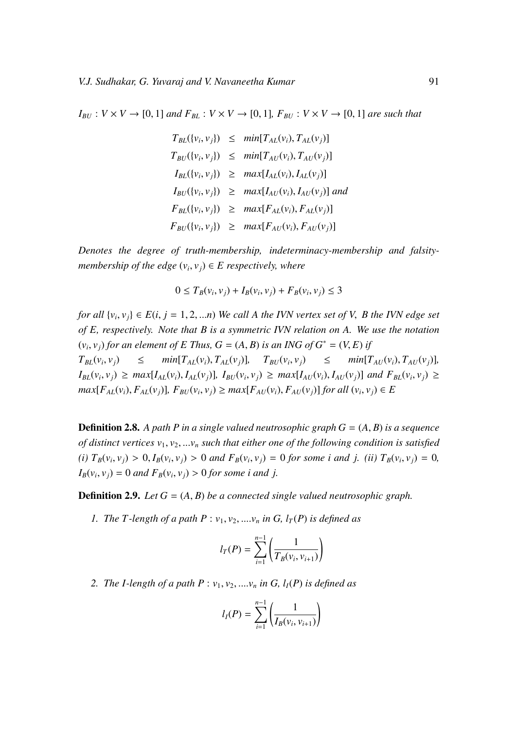$I_{B}$  :  $V \times V \rightarrow [0, 1]$  *and*  $F_{BL}$  :  $V \times V \rightarrow [0, 1]$ *,*  $F_{B}$  :  $V \times V \rightarrow [0, 1]$  *are such that* 

$$
T_{BL}(\lbrace v_i, v_j \rbrace) \leq \min[T_{AL}(v_i), T_{AL}(v_j)]
$$
  
\n
$$
T_{BU}(\lbrace v_i, v_j \rbrace) \leq \min[T_{AU}(v_i), T_{AU}(v_j)]
$$
  
\n
$$
I_{BL}(\lbrace v_i, v_j \rbrace) \geq \max[I_{AL}(v_i), I_{AL}(v_j)]
$$
  
\n
$$
I_{BU}(\lbrace v_i, v_j \rbrace) \geq \max[I_{AU}(v_i), I_{AU}(v_j)]
$$
  
\n
$$
F_{BL}(\lbrace v_i, v_j \rbrace) \geq \max[F_{AL}(v_i), F_{AL}(v_j)]
$$
  
\n
$$
F_{BU}(\lbrace v_i, v_j \rbrace) \geq \max[F_{AU}(v_i), F_{AU}(v_j)]
$$

*Denotes the degree of truth-membership, indeterminacy-membership and falsitymembership of the edge*  $(v_i, v_j) \in E$  *respectively, where* 

$$
0 \le T_B(v_i, v_j) + I_B(v_i, v_j) + F_B(v_i, v_j) \le 3
$$

*for all*  $\{v_i, v_j\} \in E(i, j = 1, 2, \ldots n)$  *We call A the IVN vertex set of V, B the IVN edge set of E, respectively. Note that B is a symmetric IVN relation on A. We use the notation*  $(v_i, v_j)$  *for an element of E Thus, G* =  $(A, B)$  *is an ING of G*<sup>\*</sup> =  $(V, E)$  *if*  $\overline{T}$  $T_{BL}(v_i, v_j)$   $\leq$   $min[T_{AL}(v_i), T_{AL}(v_j)],$   $T_{BU}(v_i, v_j)$   $\leq$   $min[T_{AU}(v_i), T_{AU}(v_j)],$  $I_{BL}(v_i, v_j) \ge \max[I_{AL}(v_i), I_{AL}(v_j)], I_{BU}(v_i, v_j) \ge \max[I_{AU}(v_i), I_{AU}(v_j)]$  and  $F_{BL}(v_i, v_j) \ge \frac{\sum_{i=1}^{n} (v_i - v_j)}{\sum_{i=1}^{n} (v_i - v_j)}$  $max[F_{AL}(v_i), F_{AL}(v_j)], F_{BU}(v_i, v_j) \ge max[F_{AU}(v_i), F_{AU}(v_j)]$  for all  $(v_i, v_j) \in E$ 

**Definition 2.8.** A path P in a single valued neutrosophic graph  $G = (A, B)$  is a sequence *of distinct vertices*  $v_1, v_2, \ldots v_n$  *such that either one of the following condition is satisfied* (*i*)  $T_B(v_i, v_j) > 0$ ,  $I_B(v_i, v_j) > 0$  and  $F_B(v_i, v_j) = 0$  for some *i* and *j*. (*ii*)  $T_B(v_i, v_j) = 0$ ,  $I_B(v_i, v_j) = 0$  *and*  $F_B(v_i, v_j) > 0$  *for some i and j.* 

Definition 2.9. *Let G* <sup>=</sup> (*A*, *<sup>B</sup>*) *be a connected single valued neutrosophic graph.*

*1. The T*-length of a path  $P: v_1, v_2, \ldots, v_n$  *in G,*  $l_T(P)$  *is defined as* 

$$
l_T(P) = \sum_{i=1}^{n-1} \left( \frac{1}{T_B(v_i, v_{i+1})} \right)
$$

2. *The I-length of a path P* :  $v_1, v_2, \ldots, v_n$  *in G,*  $l_I(P)$  *is defined as* 

$$
l_I(P) = \sum_{i=1}^{n-1} \left( \frac{1}{I_B(v_i, v_{i+1})} \right)
$$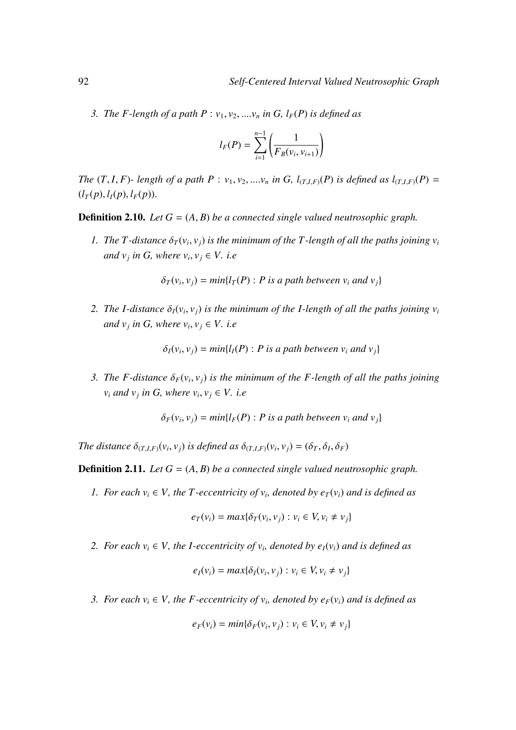*3. The F-length of a path P* :  $v_1, v_2, \ldots, v_n$  *in G, l<sub>F</sub>(P) is defined as* 

$$
l_F(P) = \sum_{i=1}^{n-1} \left( \frac{1}{F_B(v_i, v_{i+1})} \right)
$$

The  $(T, I, F)$ - length of a path  $P: v_1, v_2, ..., v_n$  in G,  $l_{(T, I, F)}(P)$  is defined as  $l_{(T, I, F)}(P)$  =  $(l_T(p), l_I(p), l_F(p)).$ 

**Definition 2.10.** *Let*  $G = (A, B)$  *be a connected single valued neutrosophic graph.* 

*1. The T*-distance  $\delta_T(v_i, v_j)$  is the minimum of the T-length of all the paths joining  $v_i$ *and*  $v_j$  *in G, where*  $v_i$ ,  $v_j \in V$ *. i.e* 

 $\delta_T(v_i, v_j) = min\{l_T(P) : P \text{ is a path between } v_i \text{ and } v_j\}$ 

*2. The I-distance*  $\delta_I(v_i, v_j)$  *is the minimum of the I-length of all the paths joining*  $v_i$ *and*  $v_j$  *in G, where*  $v_i$ ,  $v_j \in V$ *. i.e* 

 $\delta_I(v_i, v_j) = min\{l_I(P) : P \text{ is a path between } v_i \text{ and } v_j\}$ 

*3. The F-distance*  $\delta_F(v_i, v_j)$  *is the minimum of the F-length of all the paths joining*  $v_i$  *and*  $v_j$  *in G, where*  $v_i$ ,  $v_j \in V$ . *i.e* 

 $\delta_F(v_i, v_j) = min\{l_F(P) : P \text{ is a path between } v_i \text{ and } v_j\}$ 

*The distance*  $\delta_{(T,I,F)}(v_i, v_j)$  *is defined as*  $\delta_{(T,I,F)}(v_i, v_j) = (\delta_T, \delta_I, \delta_F)$ 

**Definition 2.11.** *Let*  $G = (A, B)$  *be a connected single valued neutrosophic graph.* 

*1. For each*  $v_i \in V$ , the *T*-eccentricity of  $v_i$ , denoted by  $e_T(v_i)$  and is defined as

$$
e_T(v_i) = max\{\delta_T(v_i, v_j) : v_i \in V, v_i \neq v_j\}
$$

*2. For each*  $v_i \in V$ , the *I-eccentricity of*  $v_i$ , denoted by  $e_I(v_i)$  and is defined as

$$
e_I(v_i) = max\{\delta_I(v_i, v_j) : v_i \in V, v_i \neq v_j\}
$$

*3. For each*  $v_i \in V$ , the *F*-eccentricity of  $v_i$ , denoted by  $e_F(v_i)$  and is defined as

$$
e_F(v_i) = min\{\delta_F(v_i, v_j) : v_i \in V, v_i \neq v_j\}
$$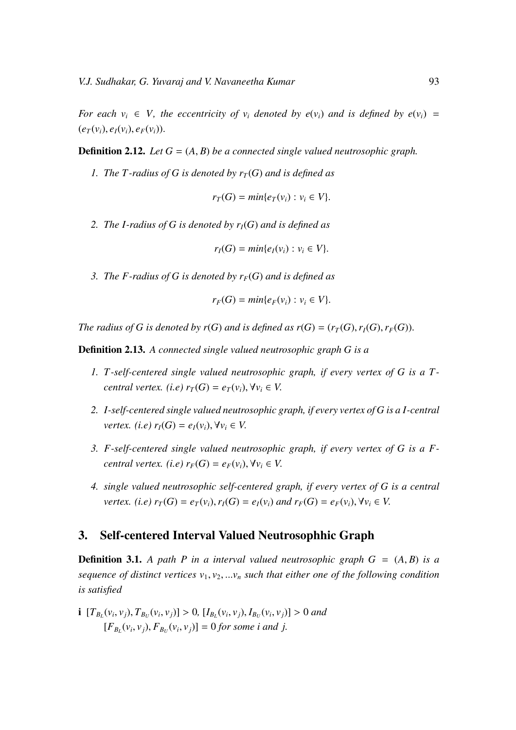*For each*  $v_i \in V$ , the eccentricity of  $v_i$  denoted by  $e(v_i)$  and is defined by  $e(v_i)$  =  $(e_T(v_i), e_I(v_i), e_F(v_i)).$ 

**Definition 2.12.** Let  $G = (A, B)$  be a connected single valued neutrosophic graph.

*1. The T-radius of G is denoted by*  $r<sub>T</sub>(G)$  *and is defined as* 

$$
r_T(G) = min\{e_T(v_i) : v_i \in V\}.
$$

*2. The I-radius of G is denoted by rI*(*G*) *and is defined as*

$$
r_I(G) = min\{e_I(v_i) : v_i \in V\}.
$$

*3. The F-radius of G is denoted by rF*(*G*) *and is defined as*

$$
r_F(G) = min\{e_F(v_i): v_i \in V\}.
$$

*The radius of G is denoted by r(G) and is defined as*  $r(G) = (r_T(G), r_I(G), r_F(G))$ *.* 

Definition 2.13. *A connected single valued neutrosophic graph G is a*

- *1. T -self-centered single valued neutrosophic graph, if every vertex of G is a T central vertex.* (*i.e)*  $r_T(G) = e_T(v_i), \forall v_i \in V$ .
- *2. I-self-centered single valued neutrosophic graph, if every vertex of G is a I-central vertex. (i.e)*  $r_I(G) = e_I(v_i)$ ,  $\forall v_i \in V$ .
- *3. F-self-centered single valued neutrosophic graph, if every vertex of G is a Fcentral vertex.* (*i.e*)  $r_F(G) = e_F(v_i)$ ,  $\forall v_i \in V$ .
- *4. single valued neutrosophic self-centered graph, if every vertex of G is a central* vertex. (i.e)  $r_T(G) = e_T(v_i)$ ,  $r_I(G) = e_I(v_i)$  and  $r_F(G) = e_F(v_i)$ ,  $\forall v_i \in V$ .

#### 3. Self-centered Interval Valued Neutrosophhic Graph

**Definition 3.1.** A path P in a interval valued neutrosophic graph  $G = (A, B)$  is a *sequence of distinct vertices*  $v_1, v_2, ... v_n$  *such that either one of the following condition is satisfied*

**i** 
$$
[T_{B_L}(v_i, v_j), T_{B_U}(v_i, v_j)] > 0
$$
,  $[I_{B_L}(v_i, v_j), I_{B_U}(v_i, v_j)] > 0$  and  $[F_{B_L}(v_i, v_j), F_{B_U}(v_i, v_j)] = 0$  for some *i* and *j*.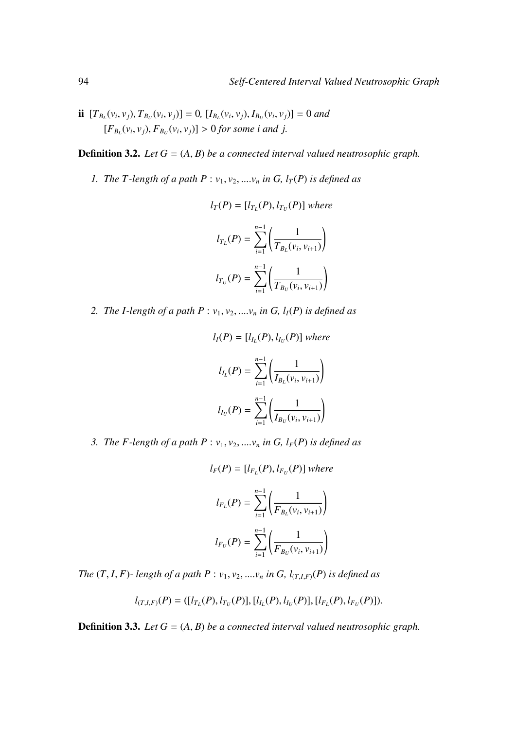ii  $[T_{B_L}(v_i, v_j), T_{B_U}(v_i, v_j)] = 0$ ,  $[I_{B_L}(v_i, v_j), I_{B_U}(v_i, v_j)] = 0$  and  $[F_{B_L}(v_i, v_j), F_{B_U}(v_i, v_j)] > 0$  *for some i and j.* 

**Definition 3.2.** *Let*  $G = (A, B)$  *be a connected interval valued neutrosophic graph.* 

*1. The T*-length of a path  $P: v_1, v_2, \ldots, v_n$  *in G, l<sub>T</sub>*(*P*) *is defined as* 

$$
l_T(P) = [l_{T_L}(P), l_{T_U}(P)] \text{ where}
$$
  

$$
l_{T_L}(P) = \sum_{i=1}^{n-1} \left( \frac{1}{T_{B_L}(v_i, v_{i+1})} \right)
$$
  

$$
l_{T_U}(P) = \sum_{i=1}^{n-1} \left( \frac{1}{T_{B_U}(v_i, v_{i+1})} \right)
$$

2. *The I-length of a path P* :  $v_1$ ,  $v_2$ , ....*v<sub>n</sub> in G*,  $l_I(P)$  *is defined as* 

$$
l_I(P) = [l_{I_L}(P), l_{I_U}(P)] \text{ where}
$$

$$
l_{I_L}(P) = \sum_{i=1}^{n-1} \left( \frac{1}{I_{B_L}(v_i, v_{i+1})} \right)
$$

$$
l_{I_U}(P) = \sum_{i=1}^{n-1} \left( \frac{1}{I_{B_U}(v_i, v_{i+1})} \right)
$$

*3. The F-length of a path P* :  $v_1$ ,  $v_2$ , ...,  $v_n$  *in G, l<sub>F</sub>(P) is defined as* 

$$
l_F(P) = [l_{F_L}(P), l_{F_U}(P)] \text{ where}
$$

$$
l_{F_L}(P) = \sum_{i=1}^{n-1} \left( \frac{1}{F_{B_L}(v_i, v_{i+1})} \right)
$$

$$
l_{F_U}(P) = \sum_{i=1}^{n-1} \left( \frac{1}{F_{B_U}(v_i, v_{i+1})} \right)
$$

*The*  $(T, I, F)$ *- length of a path P* :  $v_1, v_2, \ldots, v_n$  *in G, l* $_{(T,I,F)}(P)$  *is defined as* 

$$
l_{(T,I,F)}(P) = ([l_{T_L}(P), l_{T_U}(P)], [l_{I_L}(P), l_{I_U}(P)], [l_{F_L}(P), l_{F_U}(P)]).
$$

**Definition 3.3.** *Let*  $G = (A, B)$  *be a connected interval valued neutrosophic graph.*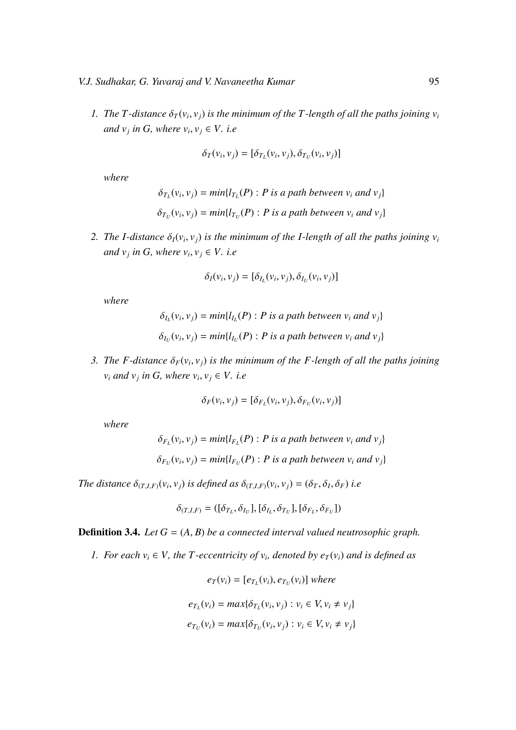*1. The T*-distance  $\delta_T(v_i, v_j)$  is the minimum of the T-length of all the paths joining  $v_i$ *and*  $v_j$  *in G, where*  $v_i$ ,  $v_j \in V$ *. i.e* 

$$
\delta_T(v_i, v_j) = [\delta_{T_L}(v_i, v_j), \delta_{T_U}(v_i, v_j)]
$$

*where*

$$
\delta_{T_L}(v_i, v_j) = min\{l_{T_L}(P) : P \text{ is a path between } v_i \text{ and } v_j\}
$$

$$
\delta_{T_U}(v_i, v_j) = min\{l_{T_U}(P) : P \text{ is a path between } v_i \text{ and } v_j\}
$$

*2. The I-distance*  $\delta_I(v_i, v_j)$  *is the minimum of the I-length of all the paths joining*  $v_i$ *and*  $v_j$  *in G, where*  $v_i$ ,  $v_j \in V$ *. i.e* 

$$
\delta_I(v_i, v_j) = [\delta_{I_L}(v_i, v_j), \delta_{I_U}(v_i, v_j)]
$$

*where*

$$
\delta_{I_L}(v_i, v_j) = min\{l_{I_L}(P) : P \text{ is a path between } v_i \text{ and } v_j\}
$$

$$
\delta_{I_U}(v_i, v_j) = min\{l_{I_U}(P) : P \text{ is a path between } v_i \text{ and } v_j\}
$$

*3. The F-distance*  $\delta_F(v_i, v_j)$  *is the minimum of the F-length of all the paths joining*  $v_i$  *and*  $v_j$  *in G, where*  $v_i$ ,  $v_j \in V$ . *i.e* 

$$
\delta_F(v_i, v_j) = [\delta_{F_L}(v_i, v_j), \delta_{F_U}(v_i, v_j)]
$$

*where*

$$
\delta_{F_L}(v_i, v_j) = min\{l_{F_L}(P) : P \text{ is a path between } v_i \text{ and } v_j\}
$$

$$
\delta_{F_U}(v_i, v_j) = min\{l_{F_U}(P) : P \text{ is a path between } v_i \text{ and } v_j\}
$$

*The distance*  $\delta_{(T,I,F)}(v_i, v_j)$  *is defined as*  $\delta_{(T,I,F)}(v_i, v_j) = (\delta_T, \delta_I, \delta_F)$  *i.e* 

$$
\delta_{(T,I,F)} = ([\delta_{T_L}, \delta_{I_U}], [\delta_{I_L}, \delta_{T_U}], [\delta_{F_L}, \delta_{F_U}])
$$

**Definition 3.4.** *Let*  $G = (A, B)$  *be a connected interval valued neutrosophic graph.* 

*1. For each*  $v_i \in V$ , the *T*-eccentricity of  $v_i$ , denoted by  $e_T(v_i)$  and is defined as

$$
e_T(v_i) = [e_{T_L}(v_i), e_{T_U}(v_i)] \text{ where}
$$

$$
e_{T_L}(v_i) = \max\{\delta_{T_L}(v_i, v_j) : v_i \in V, v_i \neq v_j\}
$$

$$
e_{T_U}(v_i) = \max\{\delta_{T_U}(v_i, v_j) : v_i \in V, v_i \neq v_j\}
$$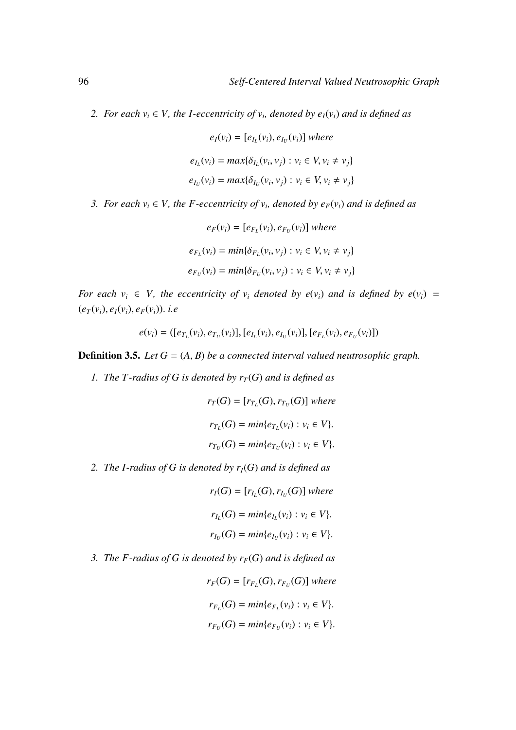*2. For each*  $v_i \in V$ , the *I-eccentricity of*  $v_i$ , denoted by  $e_I(v_i)$  and is defined as

$$
e_I(v_i) = [e_{I_L}(v_i), e_{I_U}(v_i)] \text{ where}
$$

$$
e_{I_L}(v_i) = max{\delta_{I_L}(v_i, v_j) : v_i \in V, v_i \neq v_j}
$$

$$
e_{I_U}(v_i) = max{\delta_{I_U}(v_i, v_j) : v_i \in V, v_i \neq v_j}
$$

- *3. For each*  $v_i \in V$ , the *F*-eccentricity of  $v_i$ , denoted by  $e_F(v_i)$  and is defined as
	- $e_F(v_i) = [e_{F_L}(v_i), e_{F_U}(v_i)]$  where  $e_{F_L}(v_i) = min{\delta_{F_L}(v_i, v_j) : v_i \in V, v_i \neq v_j}$  $e_{F_U}(v_i) = min{\delta_{F_U}(v_i, v_j) : v_i \in V, v_i \neq v_j}$

*For each*  $v_i \in V$ *, the eccentricity of*  $v_i$  *denoted by e*( $v_i$ *) and is defined by e*( $v_i$ *)* =  $(e_T(v_i), e_I(v_i), e_F(v_i))$ . *i.e* 

$$
e(v_i) = ([e_{T_L}(v_i), e_{T_U}(v_i)], [e_{I_L}(v_i), e_{I_U}(v_i)], [e_{F_L}(v_i), e_{F_U}(v_i)])
$$

**Definition 3.5.** *Let*  $G = (A, B)$  *be a connected interval valued neutrosophic graph.* 

*1. The T-radius of G is denoted by*  $r_T(G)$  *and is defined as* 

$$
r_T(G) = [r_{T_L}(G), r_{T_U}(G)] \text{ where}
$$
  

$$
r_{T_L}(G) = \min\{e_{T_L}(v_i) : v_i \in V\}.
$$
  

$$
r_{T_U}(G) = \min\{e_{T_U}(v_i) : v_i \in V\}.
$$

- *2. The I-radius of G is denoted by rI*(*G*) *and is defined as*
	- $r_I(G) = [r_{I_L}(G), r_{I_U}(G)]$  *where*  $r_{I_L}(G) = min\{e_{I_L}(v_i) : v_i \in V\}.$  $r_{I_U}(G) = min\{e_{I_U}(v_i) : v_i \in V\}.$
- *3. The F-radius of G is denoted by rF*(*G*) *and is defined as*

$$
r_F(G) = [r_{F_L}(G), r_{F_U}(G)] \text{ where}
$$
  

$$
r_{F_L}(G) = \min\{e_{F_L}(v_i) : v_i \in V\}.
$$
  

$$
r_{F_U}(G) = \min\{e_{F_U}(v_i) : v_i \in V\}.
$$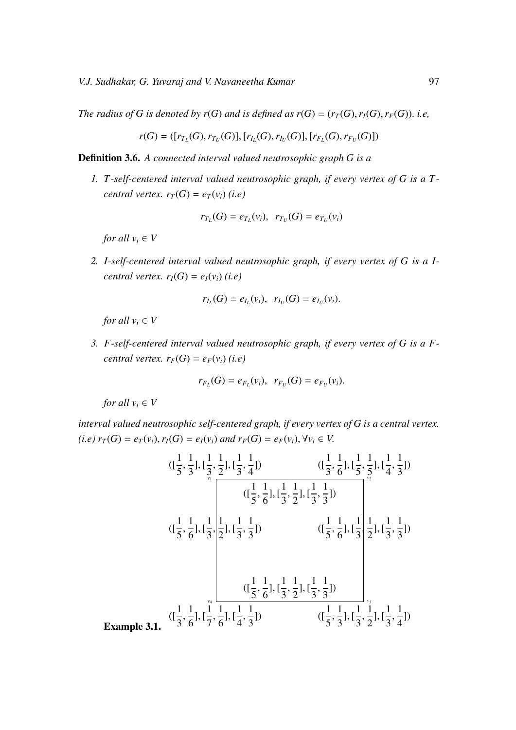*The radius of G is denoted by r(G) and is defined as*  $r(G) = (r_T(G), r_I(G), r_F(G))$ *. i.e,* 

$$
r(G) = ([r_{T_L}(G), r_{T_U}(G)], [r_{I_L}(G), r_{I_U}(G)], [r_{F_L}(G), r_{F_U}(G)])
$$

Definition 3.6. *A connected interval valued neutrosophic graph G is a*

*1. T -self-centered interval valued neutrosophic graph, if every vertex of G is a T central vertex.*  $r_T(G) = e_T(v_i)$  *(i.e)* 

$$
r_{T_L}(G) = e_{T_L}(v_i), r_{T_U}(G) = e_{T_U}(v_i)
$$

*for all*  $v_i \in V$ 

*2. I-self-centered interval valued neutrosophic graph, if every vertex of G is a Icentral vertex.*  $r_I(G) = e_I(v_i)$  *(i.e)* 

$$
r_{I_L}(G) = e_{I_L}(v_i), \ \ r_{I_U}(G) = e_{I_U}(v_i).
$$

*for all*  $v_i \in V$ 

*3. F-self-centered interval valued neutrosophic graph, if every vertex of G is a Fcentral vertex.*  $r_F(G) = e_F(v_i)$  *(i.e)* 

$$
r_{F_L}(G) = e_{F_L}(v_i), r_{F_U}(G) = e_{F_U}(v_i).
$$

*for all*  $v_i \in V$ 

*interval valued neutrosophic self-centered graph, if every vertex of G is a central vertex.* (*i.e*)  $r_T(G) = e_T(v_i)$ ,  $r_I(G) = e_I(v_i)$  and  $r_F(G) = e_F(v_i)$ ,  $\forall v_i \in V$ .

$$
((\frac{1}{5}, \frac{1}{3}), [\frac{1}{3}, \frac{1}{2}], [\frac{1}{3}, \frac{1}{4}]) \qquad ((\frac{1}{3}, \frac{1}{6}], [\frac{1}{5}, \frac{1}{5}], [\frac{1}{4}, \frac{1}{3}])
$$
  
\n
$$
((\frac{1}{5}, \frac{1}{6}], [\frac{1}{3}, \frac{1}{2}], [\frac{1}{3}, \frac{1}{3}]) \qquad ((\frac{1}{5}, \frac{1}{6}], [\frac{1}{3}, \frac{1}{3}])
$$
  
\n
$$
((\frac{1}{5}, \frac{1}{6}], [\frac{1}{3}, \frac{1}{3}]) \qquad ((\frac{1}{5}, \frac{1}{6}], [\frac{1}{3}, \frac{1}{3}])
$$
  
\n
$$
((\frac{1}{5}, \frac{1}{6}], [\frac{1}{3}, \frac{1}{2}], [\frac{1}{3}, \frac{1}{3}])
$$
  
\n
$$
((\frac{1}{3}, \frac{1}{6}], [\frac{1}{7}, \frac{1}{6}], [\frac{1}{4}, \frac{1}{3}]) \qquad ((\frac{1}{5}, \frac{1}{3}], [\frac{1}{3}, \frac{1}{2}], [\frac{1}{3}, \frac{1}{4}])
$$

Example 3.1.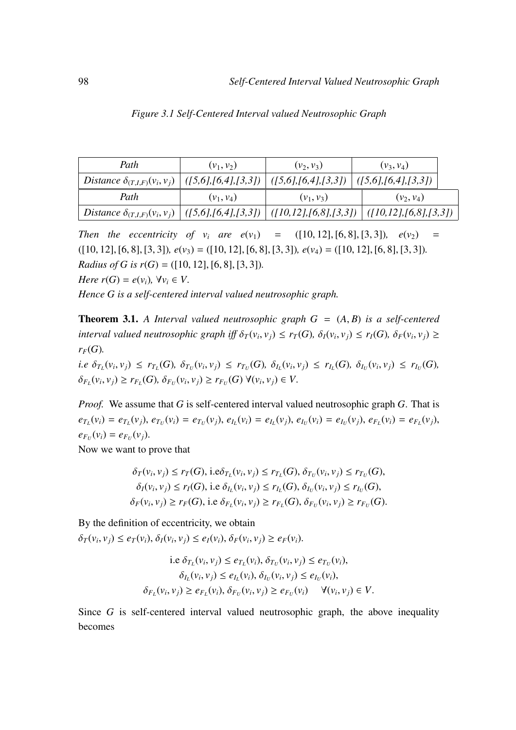| Path                                                                                                               | $(v_1, v_2)$        | $(v_2, v_3)$                                    | $(v_3, v_4)$                |
|--------------------------------------------------------------------------------------------------------------------|---------------------|-------------------------------------------------|-----------------------------|
| Distance $\delta_{(T,I,F)}(v_i, v_j)$                                                                              | ([5,6],[6,4],[3,3]) | $\left( \frac{5,6}{6,4}, \frac{3,3}{1} \right)$ | $\vert$ ([5,6],[6,4],[3,3]) |
| Path                                                                                                               | $(v_1, v_4)$        | $(v_1, v_3)$                                    | $(v_2, v_4)$                |
| Distance $\delta_{(T,I,F)}(v_i, v_j)$ $ (15,6), [6,4], [3,3])$ $ (10,12), [6,8], [3,3])$ $ (10,12), [6,8], [3,3])$ |                     |                                                 |                             |

|  |  | Figure 3.1 Self-Centered Interval valued Neutrosophic Graph |  |  |  |  |
|--|--|-------------------------------------------------------------|--|--|--|--|
|--|--|-------------------------------------------------------------|--|--|--|--|

*Then the eccentricity of v<sub>i</sub> are*  $e(v_1) = (10, 12, 16, 8, 15, 31)$ *,*  $e(v_2) =$ ([10, 12], [6, 8], [3, 3])*, e*(*v*3) <sup>=</sup> ([10, 12], [6, 8], [3, 3])*, e*(*v*4) <sup>=</sup> ([10, 12], [6, 8], [3, 3])*. Radius of G is r(G)* = ([10, 12], [6, 8], [3, 3]).

*Here*  $r(G) = e(v_i)$ ,  $\forall v_i \in V$ .

*Hence G is a self-centered interval valued neutrosophic graph.*

**Theorem 3.1.** A Interval valued neutrosophic graph  $G = (A, B)$  is a self-centered interval valued neutrosophic graph iff  $\delta_T(v_i, v_j) \le r_T(G)$ ,  $\delta_I(v_i, v_j) \le r_I(G)$ ,  $\delta_F(v_i, v_j) \ge$  $r_F(G)$ .

*i.e*  $\delta_{T_L}(v_i, v_j) \leq r_{T_L}(G), \ \delta_{T_U}(v_i, v_j) \leq r_{T_U}(G), \ \delta_{I_L}(v_i, v_j) \leq r_{I_L}(G), \ \delta_{I_U}(v_i, v_j) \leq r_{I_U}(G),$  $\delta_{F_L}(v_i, v_j) \ge r_{F_L}(G), \, \delta_{F_U}(v_i, v_j) \ge r_{F_U}(G) \, \forall (v_i, v_j) \in V.$ 

*Proof.* We assume that *G* is self-centered interval valued neutrosophic graph *G*. That is  $e_{T_L}(v_i) = e_{T_L}(v_j)$ ,  $e_{T_U}(v_i) = e_{T_U}(v_j)$ ,  $e_{I_L}(v_i) = e_{I_L}(v_j)$ ,  $e_{I_U}(v_i) = e_{I_U}(v_j)$ ,  $e_{F_L}(v_i) = e_{F_L}(v_j)$ ,  $e_{F_U}(v_i) = e_{F_U}(v_j).$ 

Now we want to prove that

$$
\delta_T(v_i, v_j) \le r_T(G), \text{ i.e } \delta_{T_L}(v_i, v_j) \le r_{T_L}(G), \delta_{T_U}(v_i, v_j) \le r_{T_U}(G),
$$
  

$$
\delta_I(v_i, v_j) \le r_I(G), \text{ i.e } \delta_{I_L}(v_i, v_j) \le r_{I_L}(G), \delta_{I_U}(v_i, v_j) \le r_{I_U}(G),
$$
  

$$
\delta_F(v_i, v_j) \ge r_F(G), \text{ i.e } \delta_{F_L}(v_i, v_j) \ge r_{F_L}(G), \delta_{F_U}(v_i, v_j) \ge r_{F_U}(G).
$$

By the definition of eccentricity, we obtain

 $\delta_T(v_i, v_j) \le e_T(v_i), \delta_I(v_i, v_j) \le e_I(v_i), \delta_F(v_i, v_j) \ge e_F(v_i).$ 

i.e 
$$
\delta_{T_L}(v_i, v_j) \le e_{T_L}(v_i)
$$
,  $\delta_{T_U}(v_i, v_j) \le e_{T_U}(v_i)$ ,  
\n $\delta_{I_L}(v_i, v_j) \le e_{I_L}(v_i)$ ,  $\delta_{I_U}(v_i, v_j) \le e_{I_U}(v_i)$ ,  
\n $\delta_{F_L}(v_i, v_j) \ge e_{F_L}(v_i)$ ,  $\delta_{F_U}(v_i, v_j) \ge e_{F_U}(v_i)$   $\forall (v_i, v_j) \in V$ .

Since *G* is self-centered interval valued neutrosophic graph, the above inequality becomes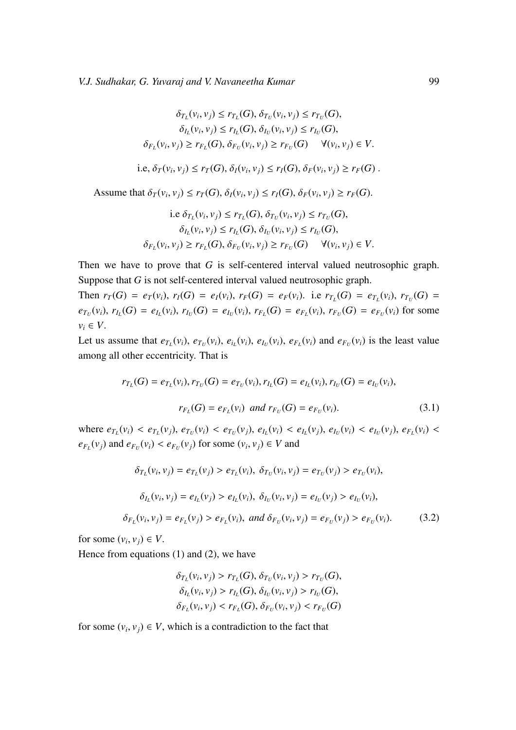$$
\delta_{T_L}(v_i, v_j) \le r_{T_L}(G), \delta_{T_U}(v_i, v_j) \le r_{T_U}(G),
$$
  
\n
$$
\delta_{I_L}(v_i, v_j) \le r_{I_L}(G), \delta_{I_U}(v_i, v_j) \le r_{I_U}(G),
$$
  
\n
$$
\delta_{F_L}(v_i, v_j) \ge r_{F_L}(G), \delta_{F_U}(v_i, v_j) \ge r_{F_U}(G) \quad \forall (v_i, v_j) \in V.
$$

i.e, 
$$
\delta_T(v_i, v_j) \le r_T(G)
$$
,  $\delta_I(v_i, v_j) \le r_I(G)$ ,  $\delta_F(v_i, v_j) \ge r_F(G)$ .

Assume that  $\delta_T(v_i, v_j) \le r_T(G)$ ,  $\delta_I(v_i, v_j) \le r_I(G)$ ,  $\delta_F(v_i, v_j) \ge r_F(G)$ .

i.e 
$$
\delta_{T_L}(v_i, v_j) \le r_{T_L}(G), \delta_{T_U}(v_i, v_j) \le r_{T_U}(G),
$$
  
\n $\delta_{I_L}(v_i, v_j) \le r_{I_L}(G), \delta_{I_U}(v_i, v_j) \le r_{I_U}(G),$   
\n $\delta_{F_L}(v_i, v_j) \ge r_{F_L}(G), \delta_{F_U}(v_i, v_j) \ge r_{F_U}(G) \quad \forall (v_i, v_j) \in V.$ 

Then we have to prove that *G* is self-centered interval valued neutrosophic graph. Suppose that *G* is not self-centered interval valued neutrosophic graph.

Then  $r_T(G) = e_T(v_i)$ ,  $r_I(G) = e_I(v_i)$ ,  $r_F(G) = e_F(v_i)$ . i.e  $r_{T_L}(G) = e_{T_L}(v_i)$ ,  $r_{T_U}(G) = e_{T_L}(v_i)$  $e_{T_U}(v_i)$ ,  $r_{I_L}(G) = e_{I_L}(v_i)$ ,  $r_{I_U}(G) = e_{I_U}(v_i)$ ,  $r_{F_L}(G) = e_{F_L}(v_i)$ ,  $r_{F_U}(G) = e_{F_U}(v_i)$  for some  $v_i \in V$ .

Let us assume that  $e_{T_L}(v_i)$ ,  $e_{T_U}(v_i)$ ,  $e_{i_L}(v_i)$ ,  $e_{T_U}(v_i)$ ,  $e_{F_L}(v_i)$  and  $e_{F_U}(v_i)$  is the least value among all other eccentricity. That is

$$
r_{T_L}(G) = e_{T_L}(v_i), r_{T_U}(G) = e_{T_U}(v_i), r_{I_L}(G) = e_{I_L}(v_i), r_{I_U}(G) = e_{I_U}(v_i),
$$
  

$$
r_{F_L}(G) = e_{F_L}(v_i) \text{ and } r_{F_U}(G) = e_{F_U}(v_i).
$$
 (3.1)

where  $e_{T_L}(v_i) < e_{T_L}(v_j)$ ,  $e_{T_U}(v_i) < e_{T_U}(v_j)$ ,  $e_{I_L}(v_i) < e_{I_U}(v_j)$ ,  $e_{I_U}(v_i) < e_{I_U}(v_j)$ ,  $e_{F_L}(v_i) < e_{I_U}(v_i)$  $e_{F_U}(v_j)$  and  $e_{F_U}(v_i) < e_{F_U}(v_j)$  for some  $(v_i, v_j) \in V$  and

$$
\delta_{T_L}(v_i, v_j) = e_{T_L}(v_j) > e_{T_L}(v_i), \ \delta_{T_U}(v_i, v_j) = e_{T_U}(v_j) > e_{T_U}(v_i),
$$
  

$$
\delta_{I_L}(v_i, v_j) = e_{I_L}(v_j) > e_{I_L}(v_i), \ \delta_{I_U}(v_i, v_j) = e_{I_U}(v_j) > e_{I_U}(v_i),
$$
  

$$
\delta_{F_L}(v_i, v_j) = e_{F_L}(v_j) > e_{F_L}(v_i), \ and \ \delta_{F_U}(v_i, v_j) = e_{F_U}(v_j) > e_{F_U}(v_i).
$$
 (3.2)

for some  $(v_i, v_j) \in V$ .

Hence from equations (1) and (2), we have

$$
\delta_{T_L}(v_i, v_j) > r_{T_L}(G), \delta_{T_U}(v_i, v_j) > r_{T_U}(G),
$$
  
\n
$$
\delta_{I_L}(v_i, v_j) > r_{I_L}(G), \delta_{I_U}(v_i, v_j) > r_{I_U}(G),
$$
  
\n
$$
\delta_{F_L}(v_i, v_j) < r_{F_L}(G), \delta_{F_U}(v_i, v_j) < r_{F_U}(G)
$$

for some  $(v_i, v_j) \in V$ , which is a contradiction to the fact that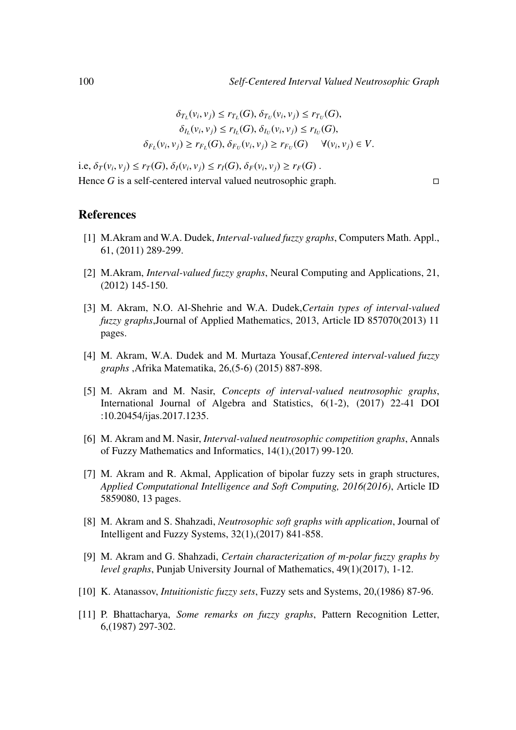$$
\delta_{T_L}(v_i, v_j) \le r_{T_L}(G), \delta_{T_U}(v_i, v_j) \le r_{T_U}(G),
$$
  

$$
\delta_{I_L}(v_i, v_j) \le r_{I_L}(G), \delta_{I_U}(v_i, v_j) \le r_{I_U}(G),
$$
  

$$
\delta_{F_L}(v_i, v_j) \ge r_{F_L}(G), \delta_{F_U}(v_i, v_j) \ge r_{F_U}(G) \quad \forall (v_i, v_j) \in V.
$$

i.e,  $\delta_T(v_i, v_j) \le r_T(G), \delta_I(v_i, v_j) \le r_I(G), \delta_F(v_i, v_j) \ge r_F(G)$ .<br>Hence G is a self-sector distance subset a set seen his sector Hence *G* is a self-centered interval valued neutrosophic graph.

### References

- [1] M.Akram and W.A. Dudek, *Interval-valued fuzzy graphs*, Computers Math. Appl., 61, (2011) 289-299.
- [2] M.Akram, *Interval-valued fuzzy graphs*, Neural Computing and Applications, 21, (2012) 145-150.
- [3] M. Akram, N.O. Al-Shehrie and W.A. Dudek,*Certain types of interval-valued fuzzy graphs*,Journal of Applied Mathematics, 2013, Article ID 857070(2013) 11 pages.
- [4] M. Akram, W.A. Dudek and M. Murtaza Yousaf,*Centered interval-valued fuzzy graphs* ,Afrika Matematika, 26,(5-6) (2015) 887-898.
- [5] M. Akram and M. Nasir, *Concepts of interval-valued neutrosophic graphs*, International Journal of Algebra and Statistics, 6(1-2), (2017) 22-41 DOI :10.20454/ijas.2017.1235.
- [6] M. Akram and M. Nasir, *Interval-valued neutrosophic competition graphs*, Annals of Fuzzy Mathematics and Informatics, 14(1),(2017) 99-120.
- [7] M. Akram and R. Akmal, Application of bipolar fuzzy sets in graph structures, *Applied Computational Intelligence and Soft Computing, 2016(2016)*, Article ID 5859080, 13 pages.
- [8] M. Akram and S. Shahzadi, *Neutrosophic soft graphs with application*, Journal of Intelligent and Fuzzy Systems, 32(1),(2017) 841-858.
- [9] M. Akram and G. Shahzadi, *Certain characterization of m-polar fuzzy graphs by level graphs*, Punjab University Journal of Mathematics, 49(1)(2017), 1-12.
- [10] K. Atanassov, *Intuitionistic fuzzy sets*, Fuzzy sets and Systems, 20,(1986) 87-96.
- [11] P. Bhattacharya, *Some remarks on fuzzy graphs*, Pattern Recognition Letter, 6,(1987) 297-302.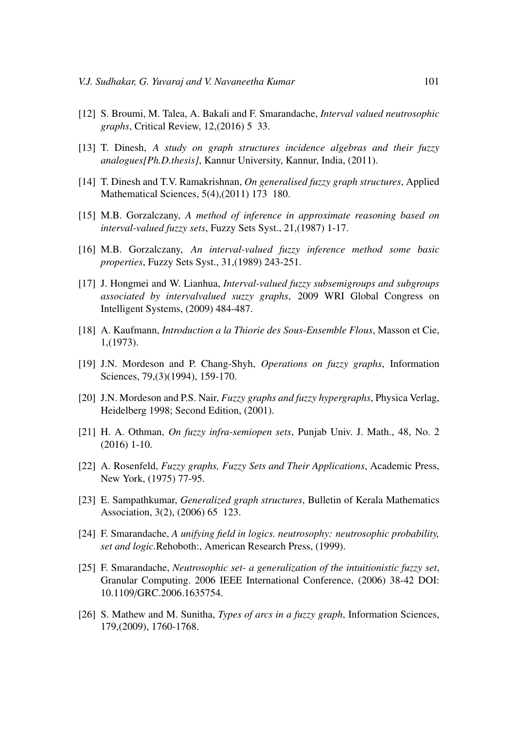- [12] S. Broumi, M. Talea, A. Bakali and F. Smarandache, *Interval valued neutrosophic graphs*, Critical Review, 12,(2016) 5 33.
- [13] T. Dinesh, *A study on graph structures incidence algebras and their fuzzy analogues[Ph.D.thesis]*, Kannur University, Kannur, India, (2011).
- [14] T. Dinesh and T.V. Ramakrishnan, *On generalised fuzzy graph structures*, Applied Mathematical Sciences, 5(4),(2011) 173 180.
- [15] M.B. Gorzalczany, *A method of inference in approximate reasoning based on interval-valued fuzzy sets*, Fuzzy Sets Syst., 21,(1987) 1-17.
- [16] M.B. Gorzalczany, *An interval-valued fuzzy inference method some basic properties*, Fuzzy Sets Syst., 31,(1989) 243-251.
- [17] J. Hongmei and W. Lianhua, *Interval-valued fuzzy subsemigroups and subgroups associated by intervalvalued suzzy graphs*, 2009 WRI Global Congress on Intelligent Systems, (2009) 484-487.
- [18] A. Kaufmann, *Introduction a la Thiorie des Sous-Ensemble Flous*, Masson et Cie, 1,(1973).
- [19] J.N. Mordeson and P. Chang-Shyh, *Operations on fuzzy graphs*, Information Sciences, 79,(3)(1994), 159-170.
- [20] J.N. Mordeson and P.S. Nair, *Fuzzy graphs and fuzzy hypergraphs*, Physica Verlag, Heidelberg 1998; Second Edition, (2001).
- [21] H. A. Othman, *On fuzzy infra-semiopen sets*, Punjab Univ. J. Math., 48, No. 2 (2016) 1-10.
- [22] A. Rosenfeld, *Fuzzy graphs, Fuzzy Sets and Their Applications*, Academic Press, New York, (1975) 77-95.
- [23] E. Sampathkumar, *Generalized graph structures*, Bulletin of Kerala Mathematics Association, 3(2), (2006) 65 123.
- [24] F. Smarandache, *A unifying field in logics. neutrosophy: neutrosophic probability, set and logic.*Rehoboth:, American Research Press, (1999).
- [25] F. Smarandache, *Neutrosophic set- a generalization of the intuitionistic fuzzy set*, Granular Computing. 2006 IEEE International Conference, (2006) 38-42 DOI: 10.1109/GRC.2006.1635754.
- [26] S. Mathew and M. Sunitha, *Types of arcs in a fuzzy graph*, Information Sciences, 179,(2009), 1760-1768.